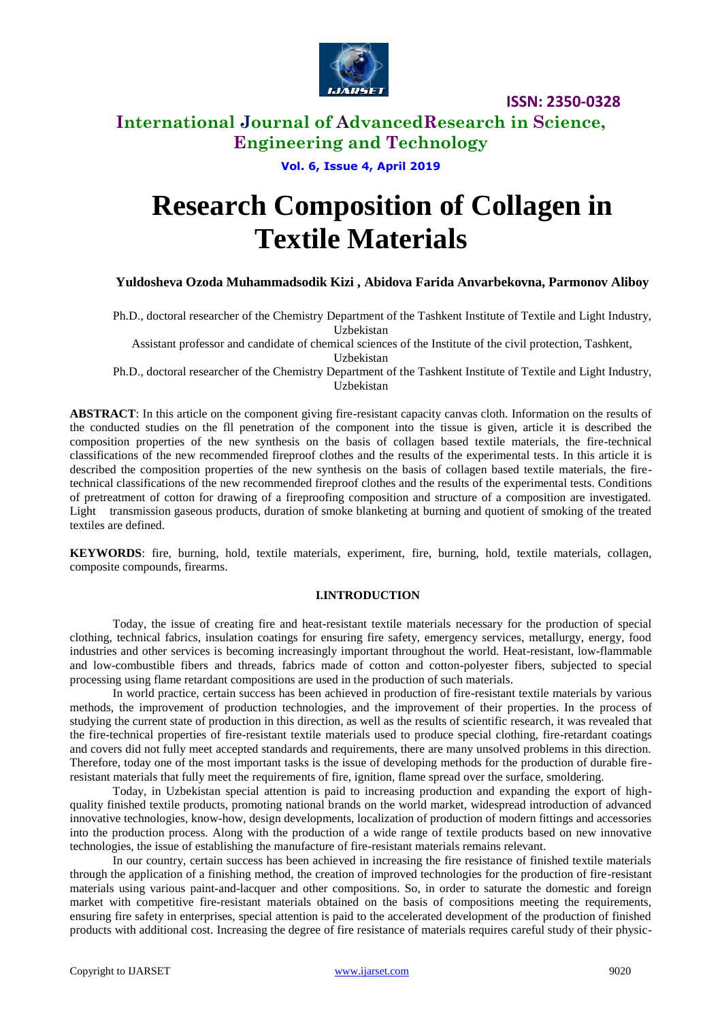

### **International Journal of AdvancedResearch in Science, Engineering and Technology**

**Vol. 6, Issue 4, April 2019**

# **Research Composition of Collagen in Textile Materials**

### **Yuldosheva Ozoda Muhammadsodik Kizi , Abidova Farida Anvarbekovna, Parmonov Aliboy**

Ph.D., doctoral researcher of the Chemistry Department of the Tashkent Institute of Textile and Light Industry, Uzbekistan

Assistant professor and candidate of chemical sciences of the Institute of the civil protection, Tashkent, Uzbekistan

Ph.D., doctoral researcher of the Chemistry Department of the Tashkent Institute of Textile and Light Industry, Uzbekistan

**ABSTRACT**: In this article on the component giving fire-resistant capacity canvas cloth. Information on the results of the conducted studies on the fll penetration of the component into the tissue is given, article it is described the composition properties of the new synthesis on the basis of collagen based textile materials, the fire-technical classifications of the new recommended fireproof clothes and the results of the experimental tests. In this article it is described the composition properties of the new synthesis on the basis of collagen based textile materials, the firetechnical classifications of the new recommended fireproof clothes and the results of the experimental tests. Conditions of pretreatment of cotton for drawing of a fireproofing composition and structure of a composition are investigated. Light transmission gaseous products, duration of smoke blanketing at burning and quotient of smoking of the treated textiles are defined.

**KEYWORDS**: fire, burning, hold, textile materials, experiment, fire, burning, hold, textile materials, collagen, composite compounds, firearms.

#### **I.INTRODUCTION**

Today, the issue of creating fire and heat-resistant textile materials necessary for the production of special clothing, technical fabrics, insulation coatings for ensuring fire safety, emergency services, metallurgy, energy, food industries and other services is becoming increasingly important throughout the world. Heat-resistant, low-flammable and low-combustible fibers and threads, fabrics made of cotton and cotton-polyester fibers, subjected to special processing using flame retardant compositions are used in the production of such materials.

In world practice, certain success has been achieved in production of fire-resistant textile materials by various methods, the improvement of production technologies, and the improvement of their properties. In the process of studying the current state of production in this direction, as well as the results of scientific research, it was revealed that the fire-technical properties of fire-resistant textile materials used to produce special clothing, fire-retardant coatings and covers did not fully meet accepted standards and requirements, there are many unsolved problems in this direction. Therefore, today one of the most important tasks is the issue of developing methods for the production of durable fireresistant materials that fully meet the requirements of fire, ignition, flame spread over the surface, smoldering.

Today, in Uzbekistan special attention is paid to increasing production and expanding the export of highquality finished textile products, promoting national brands on the world market, widespread introduction of advanced innovative technologies, know-how, design developments, localization of production of modern fittings and accessories into the production process. Along with the production of a wide range of textile products based on new innovative technologies, the issue of establishing the manufacture of fire-resistant materials remains relevant.

In our country, certain success has been achieved in increasing the fire resistance of finished textile materials through the application of a finishing method, the creation of improved technologies for the production of fire-resistant materials using various paint-and-lacquer and other compositions. So, in order to saturate the domestic and foreign market with competitive fire-resistant materials obtained on the basis of compositions meeting the requirements, ensuring fire safety in enterprises, special attention is paid to the accelerated development of the production of finished products with additional cost. Increasing the degree of fire resistance of materials requires careful study of their physic-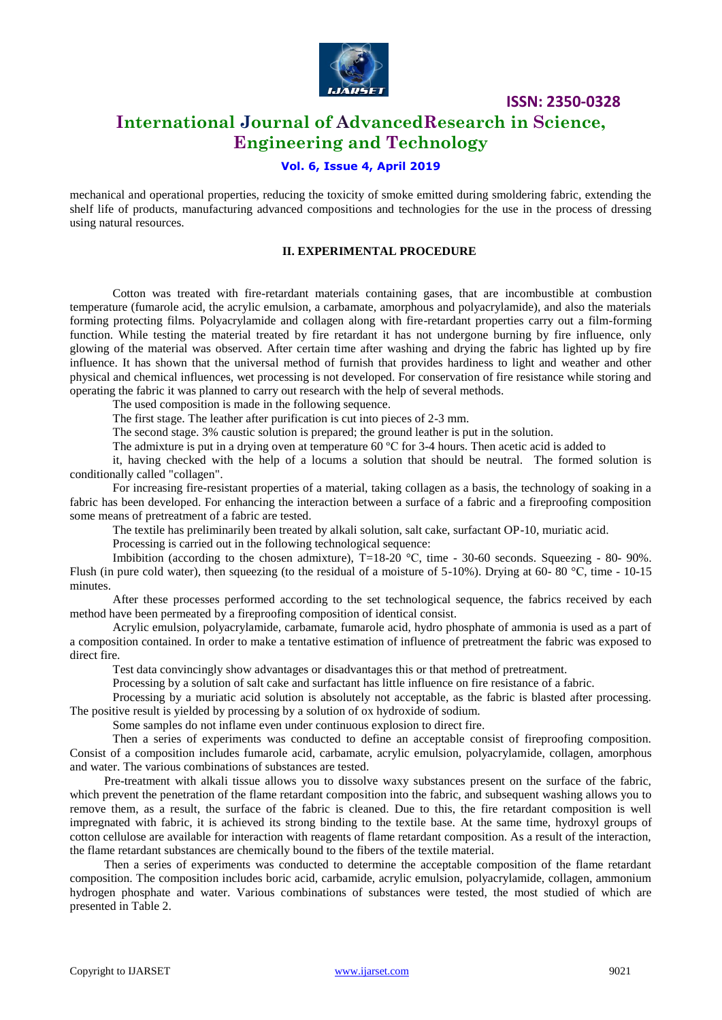

### **International Journal of AdvancedResearch in Science, Engineering and Technology**

### **Vol. 6, Issue 4, April 2019**

mechanical and operational properties, reducing the toxicity of smoke emitted during smoldering fabric, extending the shelf life of products, manufacturing advanced compositions and technologies for the use in the process of dressing using natural resources.

#### **II. EXPERIMENTAL PROCEDURE**

Cotton was treated with fire-retardant materials containing gases, that are incombustible at combustion temperature (fumarole acid, the acrylic emulsion, a carbamate, amorphous and polyacrylamide), and also the materials forming protecting films. Polyacrylamide and collagen along with fire-retardant properties carry out a film-forming function. While testing the material treated by fire retardant it has not undergone burning by fire influence, only glowing of the material was observed. After certain time after washing and drying the fabric has lighted up by fire influence. It has shown that the universal method of furnish that provides hardiness to light and weather and other physical and chemical influences, wet processing is not developed. For conservation of fire resistance while storing and operating the fabric it was planned to carry out research with the help of several methods.

The used composition is made in the following sequence.

The first stage. The leather after purification is cut into pieces of 2-3 mm.

The second stage. 3% caustic solution is prepared; the ground leather is put in the solution.

The admixture is put in a drying oven at temperature  $60^{\circ}$ C for 3-4 hours. Then acetic acid is added to

it, having checked with the help of a locums a solution that should be neutral. The formed solution is conditionally called "collagen".

For increasing fire-resistant properties of a material, taking collagen as a basis, the technology of soaking in a fabric has been developed. For enhancing the interaction between a surface of a fabric and a fireproofing composition some means of pretreatment of a fabric are tested.

The textile has preliminarily been treated by alkali solution, salt cake, surfactant OP-10, muriatic acid.

Processing is carried out in the following technological sequence:

Imbibition (according to the chosen admixture), T=18-20 °C, time - 30-60 seconds. Squeezing - 80- 90%. Flush (in pure cold water), then squeezing (to the residual of a moisture of  $5-10\%$ ). Drying at 60-80 °C, time - 10-15 minutes.

After these processes performed according to the set technological sequence, the fabrics received by each method have been permeated by a fireproofing composition of identical consist.

Acrylic emulsion, polyacrylamide, carbamate, fumarole acid, hydro phosphate of ammonia is used as a part of a composition contained. In order to make a tentative estimation of influence of pretreatment the fabric was exposed to direct fire.

Test data convincingly show advantages or disadvantages this or that method of pretreatment.

Processing by a solution of salt cake and surfactant has little influence on fire resistance of a fabric.

Processing by a muriatic acid solution is absolutely not acceptable, as the fabric is blasted after processing. The positive result is yielded by processing by a solution of ox hydroxide of sodium.

Some samples do not inflame even under continuous explosion to direct fire.

Then a series of experiments was conducted to define an acceptable consist of fireproofing composition. Consist of a composition includes fumarole acid, carbamate, acrylic emulsion, polyacrylamide, collagen, amorphous and water. The various combinations of substances are tested.

Pre-treatment with alkali tissue allows you to dissolve waxy substances present on the surface of the fabric, which prevent the penetration of the flame retardant composition into the fabric, and subsequent washing allows you to remove them, as a result, the surface of the fabric is cleaned. Due to this, the fire retardant composition is well impregnated with fabric, it is achieved its strong binding to the textile base. At the same time, hydroxyl groups of cotton cellulose are available for interaction with reagents of flame retardant composition. As a result of the interaction, the flame retardant substances are chemically bound to the fibers of the textile material.

Then a series of experiments was conducted to determine the acceptable composition of the flame retardant composition. The composition includes boric acid, carbamide, acrylic emulsion, polyacrylamide, collagen, ammonium hydrogen phosphate and water. Various combinations of substances were tested, the most studied of which are presented in Table 2.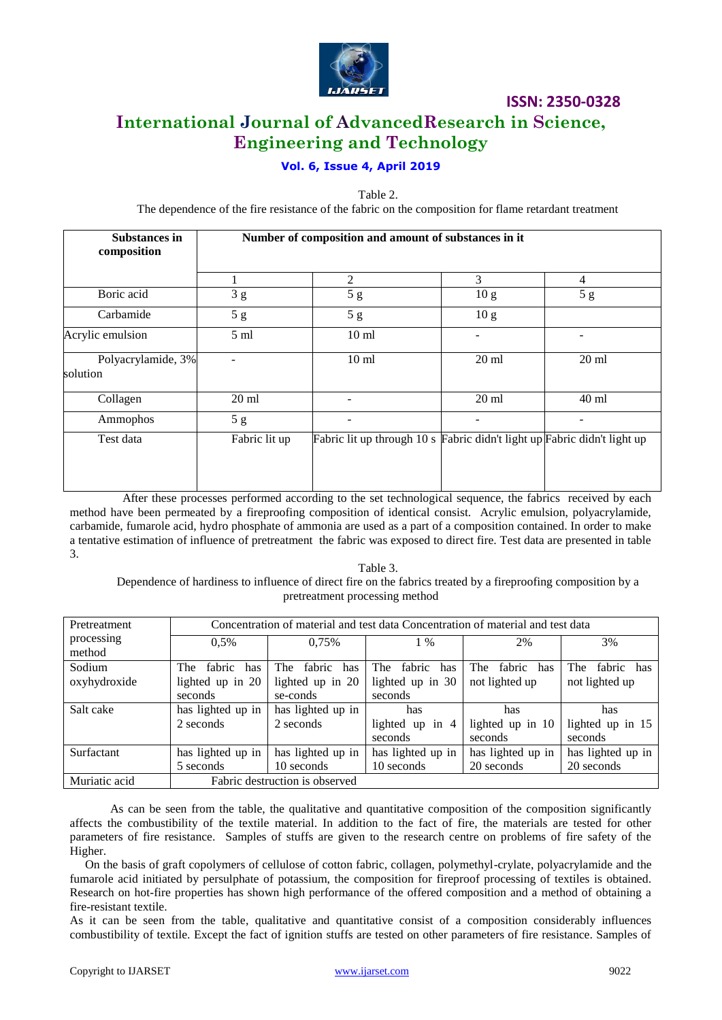

### **International Journal of AdvancedResearch in Science, Engineering and Technology**

### **Vol. 6, Issue 4, April 2019**

Table 2.

The dependence of the fire resistance of the fabric on the composition for flame retardant treatment

| <b>Substances in</b><br>composition | Number of composition and amount of substances in it |                                                                          |                 |                   |  |  |
|-------------------------------------|------------------------------------------------------|--------------------------------------------------------------------------|-----------------|-------------------|--|--|
|                                     |                                                      | 2                                                                        | 3               | 4                 |  |  |
| Boric acid                          | 3g                                                   | 5g                                                                       | 10 <sub>g</sub> | 5g                |  |  |
| Carbamide                           | 5g                                                   | 5g                                                                       | 10 <sub>g</sub> |                   |  |  |
| Acrylic emulsion                    | 5 <sub>ml</sub>                                      | 10 <sub>ml</sub>                                                         |                 |                   |  |  |
| Polyacrylamide, 3%<br>solution      |                                                      | 10 <sub>ml</sub>                                                         | $20 \text{ ml}$ | $20 \text{ ml}$   |  |  |
| Collagen                            | $20 \text{ ml}$                                      |                                                                          | $20 \text{ ml}$ | 40 ml             |  |  |
| Ammophos                            | 5g                                                   |                                                                          | -               | $\qquad \qquad -$ |  |  |
| Test data                           | Fabric lit up                                        | Fabric lit up through 10 s Fabric didn't light up Fabric didn't light up |                 |                   |  |  |

 After these processes performed according to the set technological sequence, the fabrics received by each method have been permeated by a fireproofing composition of identical consist. Acrylic emulsion, polyacrylamide, carbamide, fumarole acid, hydro phosphate of ammonia are used as a part of a composition contained. In order to make a tentative estimation of influence of pretreatment the fabric was exposed to direct fire. Test data are presented in table 3.

Table 3. Dependence of hardiness to influence of direct fire on the fabrics treated by a fireproofing composition by a pretreatment processing method

| Pretreatment         | Concentration of material and test data Concentration of material and test data |                      |                      |                    |                     |  |
|----------------------|---------------------------------------------------------------------------------|----------------------|----------------------|--------------------|---------------------|--|
| processing<br>method | 0.5%                                                                            | 0.75%                | $1\%$                | 2%                 | 3%                  |  |
| Sodium               | fabric<br>The<br>has                                                            | The<br>fabric<br>has | fabric<br>The<br>has | fabric has<br>The. | fabric has<br>The T |  |
| oxyhydroxide         | lighted up in 20                                                                | lighted up in 20     | lighted up in 30     | not lighted up     | not lighted up      |  |
|                      | seconds                                                                         | se-conds             | seconds              |                    |                     |  |
| Salt cake            | has lighted up in                                                               | has lighted up in    | has                  | has                | has                 |  |
|                      | 2 seconds                                                                       | 2 seconds            | lighted up in 4      | lighted up in 10   | lighted up in 15    |  |
|                      |                                                                                 |                      | seconds              | seconds            | seconds             |  |
| Surfactant           | has lighted up in                                                               | has lighted up in    | has lighted up in    | has lighted up in  | has lighted up in   |  |
|                      | 5 seconds                                                                       | 10 seconds           | 10 seconds           | 20 seconds         | 20 seconds          |  |
| Muriatic acid        | Fabric destruction is observed                                                  |                      |                      |                    |                     |  |

 As can be seen from the table, the qualitative and quantitative composition of the composition significantly affects the combustibility of the textile material. In addition to the fact of fire, the materials are tested for other parameters of fire resistance. Samples of stuffs are given to the research centre on problems of fire safety of the Higher.

 On the basis of graft copolymers of cellulose of cotton fabric, collagen, polymethyl-crylate, polyacrylamide and the fumarole acid initiated by persulphate of potassium, the composition for fireproof processing of textiles is obtained. Research on hot-fire properties has shown high performance of the offered composition and a method of obtaining a fire-resistant textile.

As it can be seen from the table, qualitative and quantitative consist of a composition considerably influences combustibility of textile. Except the fact of ignition stuffs are tested on other parameters of fire resistance. Samples of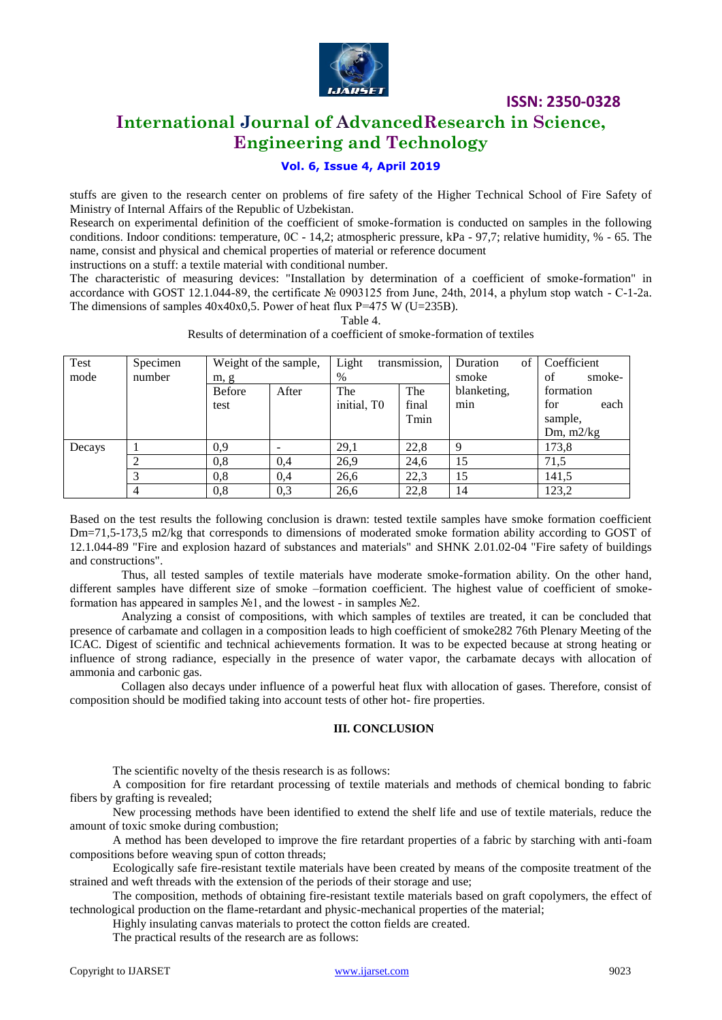

### **International Journal of AdvancedResearch in Science, Engineering and Technology**

### **Vol. 6, Issue 4, April 2019**

stuffs are given to the research center on problems of fire safety of the Higher Technical School of Fire Safety of Ministry of Internal Affairs of the Republic of Uzbekistan.

Research on experimental definition of the coefficient of smoke-formation is conducted on samples in the following conditions. Indoor conditions: temperature, 0C - 14,2; atmospheric pressure, kPa - 97,7; relative humidity, % - 65. The name, consist and physical and chemical properties of material or reference document

instructions on a stuff: a textile material with conditional number.

The characteristic of measuring devices: "Installation by determination of a coefficient of smoke-formation" in accordance with GOST 12.1.044-89, the certificate № 0903125 from June, 24th, 2014, a phylum stop watch - С-1-2а. The dimensions of samples  $40x40x0,5$ . Power of heat flux P=475 W (U=235B).

| Test   | Specimen       | Weight of the sample, |       | Light       | transmission, | of<br>Duration | Coefficient  |
|--------|----------------|-----------------------|-------|-------------|---------------|----------------|--------------|
| mode   | number         | m, g                  |       | $\%$        |               | smoke          | smoke-<br>of |
|        |                | <b>Before</b>         | After | The         | The           | blanketing,    | formation    |
|        |                | test                  |       | initial, TO | final         | min            | each<br>for  |
|        |                |                       |       |             | Tmin          |                | sample,      |
|        |                |                       |       |             |               |                | Dm, $m2/kg$  |
| Decays |                | 0,9                   |       | 29,1        | 22,8          | 9              | 173,8        |
|        | $\overline{c}$ | 0,8                   | 0,4   | 26,9        | 24,6          | 15             | 71.5         |
|        | 3              | 0,8                   | 0,4   | 26,6        | 22,3          | 15             | 141,5        |
|        | 4              | 0,8                   | 0.3   | 26,6        | 22,8          | 14             | 123,2        |

Table 4. Results of determination of a coefficient of smoke-formation of textiles

Based on the test results the following conclusion is drawn: tested textile samples have smoke formation coefficient Dm=71,5-173,5 m2/kg that corresponds to dimensions of moderated smoke formation ability according to GOST of 12.1.044-89 "Fire and explosion hazard of substances and materials" and SHNK 2.01.02-04 "Fire safety of buildings and constructions".

Thus, all tested samples of textile materials have moderate smoke-formation ability. On the other hand, different samples have different size of smoke –formation coefficient. The highest value of coefficient of smokeformation has appeared in samples  $N\Omega$ , and the lowest - in samples  $N\Omega$ .

Analyzing a consist of compositions, with which samples of textiles are treated, it can be concluded that presence of carbamate and collagen in a composition leads to high coefficient of smoke282 76th Plenary Meeting of the ICAC. Digest of scientific and technical achievements formation. It was to be expected because at strong heating or influence of strong radiance, especially in the presence of water vapor, the carbamate decays with allocation of ammonia and carbonic gas.

Collagen also decays under influence of a powerful heat flux with allocation of gases. Therefore, consist of composition should be modified taking into account tests of other hot- fire properties.

#### **III. CONCLUSION**

The scientific novelty of the thesis research is as follows:

A composition for fire retardant processing of textile materials and methods of chemical bonding to fabric fibers by grafting is revealed;

New processing methods have been identified to extend the shelf life and use of textile materials, reduce the amount of toxic smoke during combustion;

A method has been developed to improve the fire retardant properties of a fabric by starching with anti-foam compositions before weaving spun of cotton threads;

Ecologically safe fire-resistant textile materials have been created by means of the composite treatment of the strained and weft threads with the extension of the periods of their storage and use;

The composition, methods of obtaining fire-resistant textile materials based on graft copolymers, the effect of technological production on the flame-retardant and physic-mechanical properties of the material;

Highly insulating canvas materials to protect the cotton fields are created.

The practical results of the research are as follows: